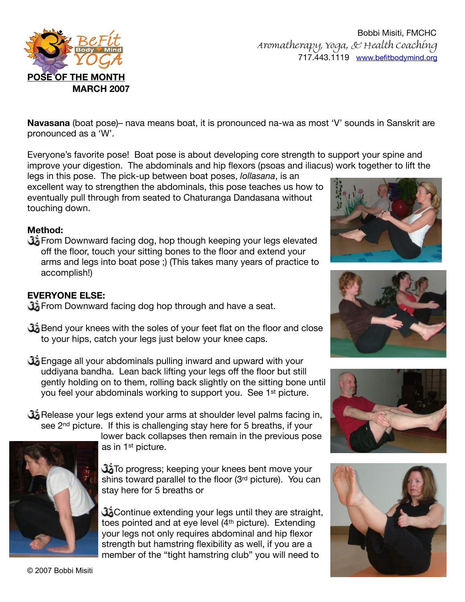

Bobbi Misiti, FMCHC Aromatherapy, Yoga, & Health Coaching 717.443.1119 [www.befitbodymind.org](http://www.befitbodymind.org)

**Navasana** (boat pose)– nava means boat, it is pronounced na-wa as most 'V' sounds in Sanskrit are pronounced as a 'W'.

Everyone's favorite pose! Boat pose is about developing core strength to support your spine and improve your digestion. The abdominals and hip flexors (psoas and iliacus) work together to lift the

legs in this pose. The pick-up between boat poses, *lollasana*, is an excellent way to strengthen the abdominals, this pose teaches us how to eventually pull through from seated to Chaturanga Dandasana without touching down.

## **Method:**

From Downward facing dog, hop though keeping your legs elevated off the floor, touch your sitting bones to the floor and extend your arms and legs into boat pose ;) (This takes many years of practice to accomplish!)

# **EVERYONE ELSE:**

From Downward facing dog hop through and have a seat.

- Bend your knees with the soles of your feet flat on the floor and close to your hips, catch your legs just below your knee caps.
- Engage all your abdominals pulling inward and upward with your uddiyana bandha. Lean back lifting your legs off the floor but still gently holding on to them, rolling back slightly on the sitting bone until you feel your abdominals working to support you. See 1st picture.
- Release your legs extend your arms at shoulder level palms facing in, see 2<sup>nd</sup> picture. If this is challenging stay here for 5 breaths, if your



lower back collapses then remain in the previous pose as in 1st picture.

To progress; keeping your knees bent move your shins toward parallel to the floor (3rd picture). You can stay here for 5 breaths or

Continue extending your legs until they are straight, toes pointed and at eye level (4th picture). Extending your legs not only requires abdominal and hip flexor strength but hamstring flexibility as well, if you are a member of the "tight hamstring club" you will need to







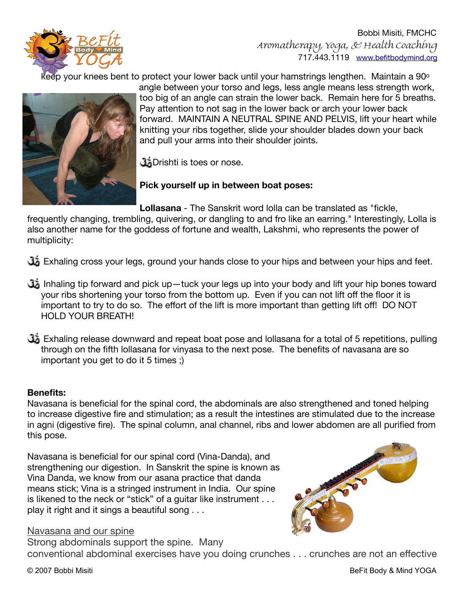

Bobbi Misiti, FMCHC Aromatherapy, Yoga, & Health Coaching 717.443.1119 [www.befitbodymind.org](http://www.befitbodymind.org)

keep your knees bent to protect your lower back until your hamstrings lengthen. Maintain a 90 $^{\circ}$ 



angle between your torso and legs, less angle means less strength work, too big of an angle can strain the lower back. Remain here for 5 breaths. Pay attention to not sag in the lower back or arch your lower back forward. MAINTAIN A NEUTRAL SPINE AND PELVIS, lift your heart while knitting your ribs together, slide your shoulder blades down your back and pull your arms into their shoulder joints.

**J**brishti is toes or nose.

**Pick yourself up in between boat poses:** 

**Lollasana** - The Sanskrit word lolla can be translated as "fickle,

frequently changing, trembling, quivering, or dangling to and fro like an earring." Interestingly, Lolla is also another name for the goddess of fortune and wealth, Lakshmi, who represents the power of multiplicity:

Exhaling cross your legs, ground your hands close to your hips and between your hips and feet.

- Inhaling tip forward and pick up—tuck your legs up into your body and lift your hip bones toward your ribs shortening your torso from the bottom up. Even if you can not lift off the floor it is important to try to do so. The effort of the lift is more important than getting lift off! DO NOT HOLD YOUR BREATH!
- Exhaling release downward and repeat boat pose and lollasana for a total of 5 repetitions, pulling through on the fifth lollasana for vinyasa to the next pose. The benefits of navasana are so important you get to do it 5 times ;)

### **Benefits:**

Navasana is beneficial for the spinal cord, the abdominals are also strengthened and toned helping to increase digestive fire and stimulation; as a result the intestines are stimulated due to the increase in agni (digestive fire). The spinal column, anal channel, ribs and lower abdomen are all purified from this pose.

Navasana is beneficial for our spinal cord (Vina-Danda), and strengthening our digestion. In Sanskrit the spine is known as Vina Danda, we know from our asana practice that danda means stick; Vina is a stringed instrument in India. Our spine is likened to the neck or "stick" of a guitar like instrument . . . play it right and it sings a beautiful song . . .



#### Navasana and our spine

Strong abdominals support the spine. Many conventional abdominal exercises have you doing crunches . . . crunches are not an effective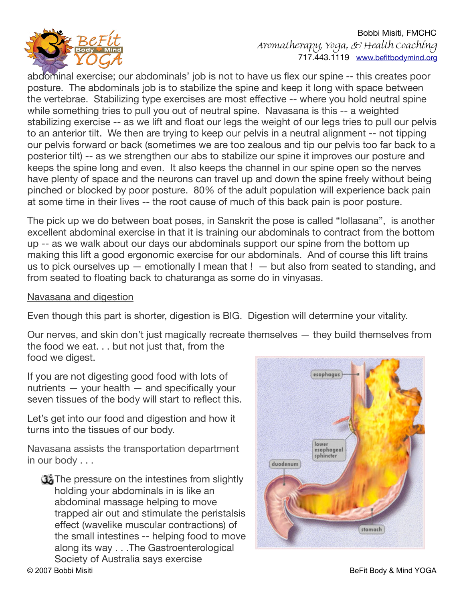

Bobbi Misiti, FMCHC Aromatherapy, Yoga, & Health Coaching 717.443.1119 [www.befitbodymind.org](http://www.befitbodymind.org)

abdominal exercise; our abdominals' job is not to have us flex our spine -- this creates poor posture. The abdominals job is to stabilize the spine and keep it long with space between the vertebrae. Stabilizing type exercises are most effective -- where you hold neutral spine while something tries to pull you out of neutral spine. Navasana is this -- a weighted stabilizing exercise -- as we lift and float our legs the weight of our legs tries to pull our pelvis to an anterior tilt. We then are trying to keep our pelvis in a neutral alignment -- not tipping our pelvis forward or back (sometimes we are too zealous and tip our pelvis too far back to a posterior tilt) -- as we strengthen our abs to stabilize our spine it improves our posture and keeps the spine long and even. It also keeps the channel in our spine open so the nerves have plenty of space and the neurons can travel up and down the spine freely without being pinched or blocked by poor posture. 80% of the adult population will experience back pain at some time in their lives -- the root cause of much of this back pain is poor posture.

The pick up we do between boat poses, in Sanskrit the pose is called "lollasana", is another excellent abdominal exercise in that it is training our abdominals to contract from the bottom up -- as we walk about our days our abdominals support our spine from the bottom up making this lift a good ergonomic exercise for our abdominals. And of course this lift trains us to pick ourselves up  $-$  emotionally I mean that !  $-$  but also from seated to standing, and from seated to floating back to chaturanga as some do in vinyasas.

## Navasana and digestion

Even though this part is shorter, digestion is BIG. Digestion will determine your vitality.

Our nerves, and skin don't just magically recreate themselves — they build themselves from the food we eat. . . but not just that, from the food we digest.

If you are not digesting good food with lots of nutrients — your health — and specifically your seven tissues of the body will start to reflect this.

Let's get into our food and digestion and how it turns into the tissues of our body.

Navasana assists the transportation department in our body . . .

**The pressure on the intestines from slightly** holding your abdominals in is like an abdominal massage helping to move trapped air out and stimulate the peristalsis effect (wavelike muscular contractions) of the small intestines -- helping food to move along its way . . .The Gastroenterological Society of Australia says exercise © 2007 Bobbi Misiti Body & Mind YOGA

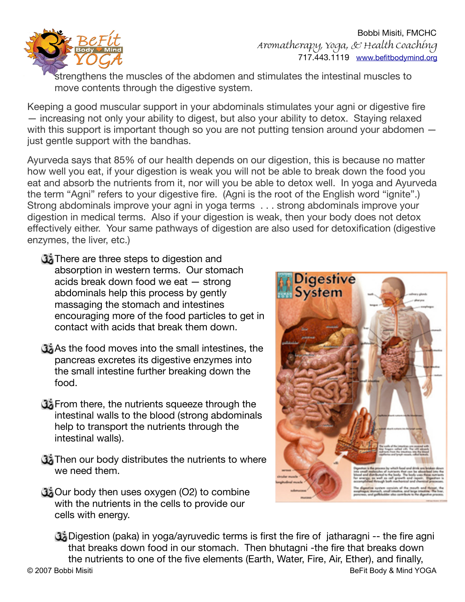

Bobbi Misiti, FMCHC Aromatherapy, Yoga, & Health Coaching 717.443.1119 [www.befitbodymind.org](http://www.befitbodymind.org)

strengthens the muscles of the abdomen and stimulates the intestinal muscles to move contents through the digestive system.

Keeping a good muscular support in your abdominals stimulates your agni or digestive fire — increasing not only your ability to digest, but also your ability to detox. Staying relaxed with this support is important though so you are not putting tension around your abdomen – just gentle support with the bandhas.

Ayurveda says that 85% of our health depends on our digestion, this is because no matter how well you eat, if your digestion is weak you will not be able to break down the food you eat and absorb the nutrients from it, nor will you be able to detox well. In yoga and Ayurveda the term "Agni" refers to your digestive fire. (Agni is the root of the English word "ignite".) Strong abdominals improve your agni in yoga terms . . . strong abdominals improve your digestion in medical terms. Also if your digestion is weak, then your body does not detox effectively either. Your same pathways of digestion are also used for detoxification (digestive enzymes, the liver, etc.)

- **There are three steps to digestion and** absorption in western terms. Our stomach acids break down food we eat — strong abdominals help this process by gently massaging the stomach and intestines encouraging more of the food particles to get in contact with acids that break them down.
- As the food moves into the small intestines, the pancreas excretes its digestive enzymes into the small intestine further breaking down the food.
- **G** From there, the nutrients squeeze through the intestinal walls to the blood (strong abdominals help to transport the nutrients through the intestinal walls).
- **Then our body distributes the nutrients to where** we need them.
- **Cour body then uses oxygen (O2) to combine** with the nutrients in the cells to provide our cells with energy.



Digestion (paka) in yoga/ayruvedic terms is first the fire of jatharagni -- the fire agni that breaks down food in our stomach. Then bhutagni -the fire that breaks down the nutrients to one of the five elements (Earth, Water, Fire, Air, Ether), and finally, © 2007 Bobbi Misiti BeFit Body & Mind YOGA